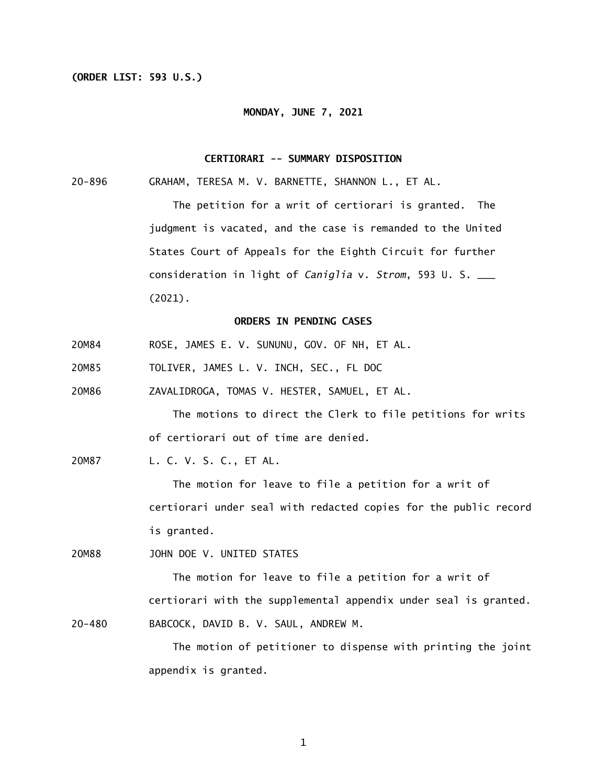## **(ORDER LIST: 593 U.S.)**

#### **MONDAY, JUNE 7, 2021**

## **CERTIORARI -- SUMMARY DISPOSITION**

 $20 - 896$ GRAHAM, TERESA M. V. BARNETTE, SHANNON L., ET AL.

> The petition for a writ of certiorari is granted. The judgment is vacated, and the case is remanded to the United States Court of Appeals for the Eighth Circuit for further consideration in light of *Caniglia* v. *Strom*, 593 U. S. \_\_\_ (2021).

## **ORDERS IN PENDING CASES**

20M84 ROSE, JAMES E. V. SUNUNU, GOV. OF NH, ET AL.

20M85 TOLIVER, JAMES L. V. INCH, SEC., FL DOC

20M86 ZAVALIDROGA, TOMAS V. HESTER, SAMUEL, ET AL.

> The motions to direct the Clerk to file petitions for writs of certiorari out of time are denied.

20M87 L. C. V. S. C., ET AL.

> The motion for leave to file a petition for a writ of certiorari under seal with redacted copies for the public record is granted.

20M88 JOHN DOE V. UNITED STATES

 $20 - 480$ The motion for leave to file a petition for a writ of certiorari with the supplemental appendix under seal is granted. BABCOCK, DAVID B. V. SAUL, ANDREW M.

> The motion of petitioner to dispense with printing the joint appendix is granted.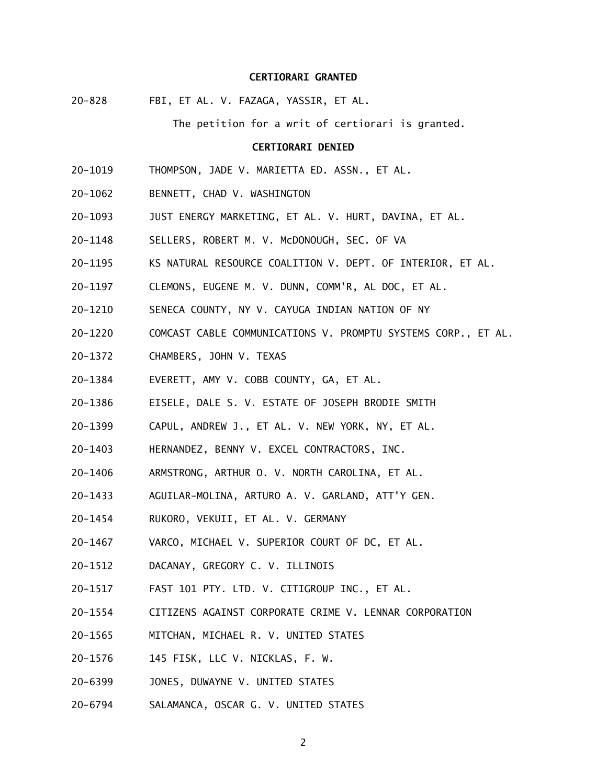## **CERTIORARI GRANTED**

 $20 - 828$ FBI, ET AL. V. FAZAGA, YASSIR, ET AL.

The petition for a writ of certiorari is granted.

## **CERTIORARI DENIED**

- 20-1019 THOMPSON, JADE V. MARIETTA ED. ASSN., ET AL.
- 20-1062 BENNETT, CHAD V. WASHINGTON
- 20-1093 JUST ENERGY MARKETING, ET AL. V. HURT, DAVINA, ET AL.
- 20-1148 SELLERS, ROBERT M. V. McDONOUGH, SEC. OF VA
- 20-1195 KS NATURAL RESOURCE COALITION V. DEPT. OF INTERIOR, ET AL.
- 20-1197 CLEMONS, EUGENE M. V. DUNN, COMM'R, AL DOC, ET AL.
- 20-1210 SENECA COUNTY, NY V. CAYUGA INDIAN NATION OF NY
- 20-1220 COMCAST CABLE COMMUNICATIONS V. PROMPTU SYSTEMS CORP., ET AL.
- 20-1372 CHAMBERS, JOHN V. TEXAS
- 20-1384 EVERETT, AMY V. COBB COUNTY, GA, ET AL.
- 20-1386 EISELE, DALE S. V. ESTATE OF JOSEPH BRODIE SMITH
- 20-1399 CAPUL, ANDREW J., ET AL. V. NEW YORK, NY, ET AL.
- 20-1403 HERNANDEZ, BENNY V. EXCEL CONTRACTORS, INC.
- 20-1406 ARMSTRONG, ARTHUR O. V. NORTH CAROLINA, ET AL.
- 20-1433 AGUILAR-MOLINA, ARTURO A. V. GARLAND, ATT'Y GEN.
- 20-1454 RUKORO, VEKUII, ET AL. V. GERMANY
- 20-1467 VARCO, MICHAEL V. SUPERIOR COURT OF DC, ET AL.
- 20-1512 DACANAY, GREGORY C. V. ILLINOIS
- 20-1517 FAST 101 PTY. LTD. V. CITIGROUP INC., ET AL.
- 20-1554 CITIZENS AGAINST CORPORATE CRIME V. LENNAR CORPORATION
- 20-1565 MITCHAN, MICHAEL R. V. UNITED STATES
- 20-1576 145 FISK, LLC V. NICKLAS, F. W.
- 20-6399 JONES, DUWAYNE V. UNITED STATES
- 20-6794 SALAMANCA, OSCAR G. V. UNITED STATES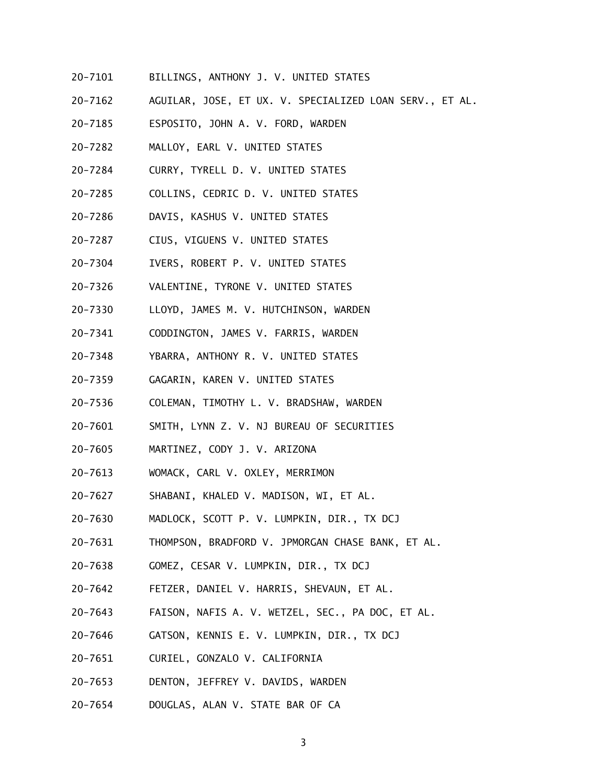- 20-7101 BILLINGS, ANTHONY J. V. UNITED STATES
- 20-7162 AGUILAR, JOSE, ET UX. V. SPECIALIZED LOAN SERV., ET AL.
- 20-7185 ESPOSITO, JOHN A. V. FORD, WARDEN
- 20-7282 MALLOY, EARL V. UNITED STATES
- $20 7284$ 20-7284 CURRY, TYRELL D. V. UNITED STATES
- 20-7285 COLLINS, CEDRIC D. V. UNITED STATES
- 20-7286 DAVIS, KASHUS V. UNITED STATES
- 20-7287 CIUS, VIGUENS V. UNITED STATES
- $20 7304$ IVERS, ROBERT P. V. UNITED STATES
- 20-7326 VALENTINE, TYRONE V. UNITED STATES
- 20-7330 LLOYD, JAMES M. V. HUTCHINSON, WARDEN
- 20-7341 CODDINGTON, JAMES V. FARRIS, WARDEN
- 20-7348 YBARRA, ANTHONY R. V. UNITED STATES
- 20-7359 GAGARIN, KAREN V. UNITED STATES
- 20-7536 COLEMAN, TIMOTHY L. V. BRADSHAW, WARDEN
- 20-7601 SMITH, LYNN Z. V. NJ BUREAU OF SECURITIES
- 20-7605 MARTINEZ, CODY J. V. ARIZONA
- 20-7613 WOMACK, CARL V. OXLEY, MERRIMON
- 20-7627 SHABANI, KHALED V. MADISON, WI, ET AL.
- 20-7630 MADLOCK, SCOTT P. V. LUMPKIN, DIR., TX DCJ
- 20-7631 THOMPSON, BRADFORD V. JPMORGAN CHASE BANK, ET AL.
- 20-7638 GOMEZ, CESAR V. LUMPKIN, DIR., TX DCJ
- 20-7642 FETZER, DANIEL V. HARRIS, SHEVAUN, ET AL.
- 20-7643 FAISON, NAFIS A. V. WETZEL, SEC., PA DOC, ET AL.
- 20-7646 GATSON, KENNIS E. V. LUMPKIN, DIR., TX DCJ
- 20-7651 CURIEL, GONZALO V. CALIFORNIA
- 20-7653 DENTON, JEFFREY V. DAVIDS, WARDEN
- 20-7654 DOUGLAS, ALAN V. STATE BAR OF CA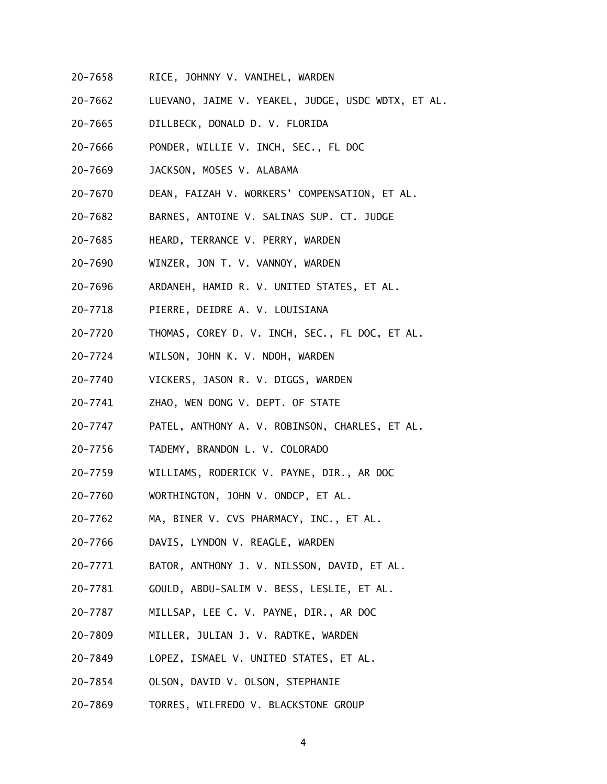- 20-7658 RICE, JOHNNY V. VANIHEL, WARDEN
- 20-7662 LUEVANO, JAIME V. YEAKEL, JUDGE, USDC WDTX, ET AL.
- 20-7665 DILLBECK, DONALD D. V. FLORIDA
- 20-7666 PONDER, WILLIE V. INCH, SEC., FL DOC
- 20-7669 JACKSON, MOSES V. ALABAMA
- 20-7670 DEAN, FAIZAH V. WORKERS' COMPENSATION, ET AL.
- 20-7682 BARNES, ANTOINE V. SALINAS SUP. CT. JUDGE
- 20-7685 HEARD, TERRANCE V. PERRY, WARDEN
- 20-7690 WINZER, JON T. V. VANNOY, WARDEN
- 20-7696 ARDANEH, HAMID R. V. UNITED STATES, ET AL.
- 20-7718 PIERRE, DEIDRE A. V. LOUISIANA
- 20-7720 THOMAS, COREY D. V. INCH, SEC., FL DOC, ET AL.
- 20-7724 WILSON, JOHN K. V. NDOH, WARDEN
- 20-7740 VICKERS, JASON R. V. DIGGS, WARDEN
- 20-7741 ZHAO, WEN DONG V. DEPT. OF STATE
- 20-7747 PATEL, ANTHONY A. V. ROBINSON, CHARLES, ET AL.
- 20-7756 TADEMY, BRANDON L. V. COLORADO
- 20-7759 WILLIAMS, RODERICK V. PAYNE, DIR., AR DOC
- 20-7760 WORTHINGTON, JOHN V. ONDCP, ET AL.
- 20-7762 MA, BINER V. CVS PHARMACY, INC., ET AL.
- 20-7766 DAVIS, LYNDON V. REAGLE, WARDEN
- 20-7771 BATOR, ANTHONY J. V. NILSSON, DAVID, ET AL.
- 20-7781 GOULD, ABDU-SALIM V. BESS, LESLIE, ET AL.
- 20-7787 MILLSAP, LEE C. V. PAYNE, DIR., AR DOC
- 20-7809 MILLER, JULIAN J. V. RADTKE, WARDEN
- 20-7849 LOPEZ, ISMAEL V. UNITED STATES, ET AL.
- 20-7854 OLSON, DAVID V. OLSON, STEPHANIE
- 20-7869 TORRES, WILFREDO V. BLACKSTONE GROUP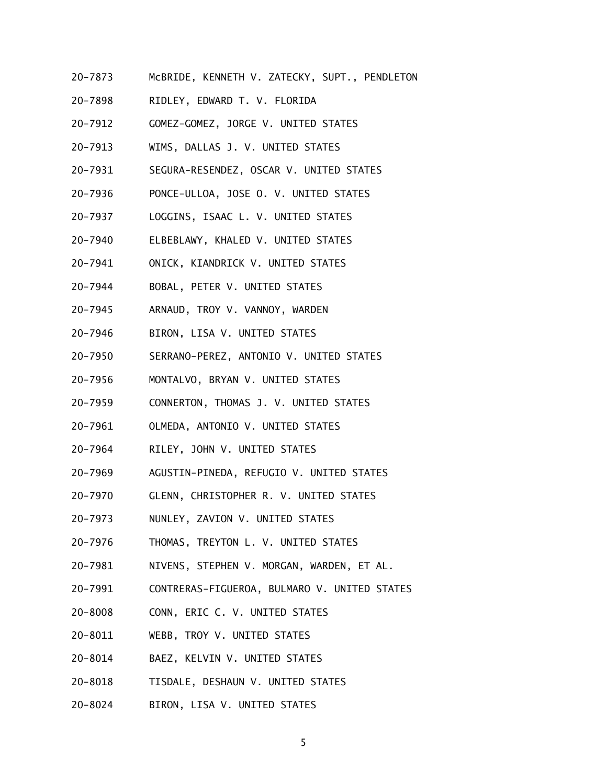- 20-7873 McBRIDE, KENNETH V. ZATECKY, SUPT., PENDLETON
- 20-7898 RIDLEY, EDWARD T. V. FLORIDA
- 20-7912 GOMEZ-GOMEZ, JORGE V. UNITED STATES
- 20-7913 WIMS, DALLAS J. V. UNITED STATES
- 20-7931 SEGURA-RESENDEZ, OSCAR V. UNITED STATES
- $20 7936$ 20-7936 PONCE-ULLOA, JOSE O. V. UNITED STATES
- 20-7937 LOGGINS, ISAAC L. V. UNITED STATES
- 20-7940 ELBEBLAWY, KHALED V. UNITED STATES
- 20-7941 ONICK, KIANDRICK V. UNITED STATES
- 20-7944 20-7944 BOBAL, PETER V. UNITED STATES
- 20-7945 ARNAUD, TROY V. VANNOY, WARDEN
- 20-7946 BIRON, LISA V. UNITED STATES
- 20-7950 SERRANO-PEREZ, ANTONIO V. UNITED STATES
- 20-7956 MONTALVO, BRYAN V. UNITED STATES
- 20-7959 CONNERTON, THOMAS J. V. UNITED STATES
- 20-7961 OLMEDA, ANTONIO V. UNITED STATES
- 20-7964 RILEY, JOHN V. UNITED STATES
- 20-7969 AGUSTIN-PINEDA, REFUGIO V. UNITED STATES
- 20-7970 GLENN, CHRISTOPHER R. V. UNITED STATES
- 20-7973 NUNLEY, ZAVION V. UNITED STATES
- 20-7976 THOMAS, TREYTON L. V. UNITED STATES
- 20-7981 NIVENS, STEPHEN V. MORGAN, WARDEN, ET AL.
- 20-7991 CONTRERAS-FIGUEROA, BULMARO V. UNITED STATES
- 20-8008 CONN, ERIC C. V. UNITED STATES
- 20-8011 WEBB, TROY V. UNITED STATES
- 20-8014 BAEZ, KELVIN V. UNITED STATES
- 20-8018 TISDALE, DESHAUN V. UNITED STATES
- 20-8024 BIRON, LISA V. UNITED STATES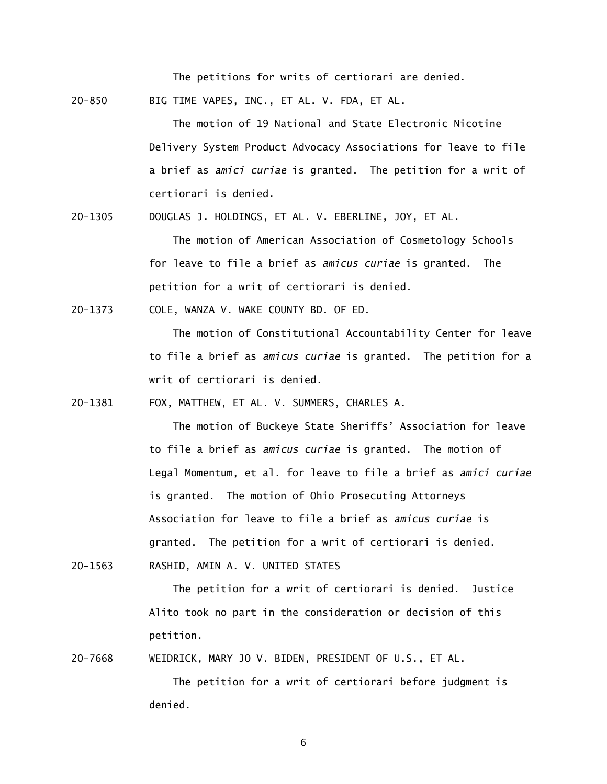The petitions for writs of certiorari are denied.

 $20 - 850$ BIG TIME VAPES, INC., ET AL. V. FDA, ET AL.

> The motion of 19 National and State Electronic Nicotine Delivery System Product Advocacy Associations for leave to file a brief as *amici curiae* is granted. The petition for a writ of certiorari is denied.

20-1305 DOUGLAS J. HOLDINGS, ET AL. V. EBERLINE, JOY, ET AL.

 The motion of American Association of Cosmetology Schools for leave to file a brief as *amicus curiae* is granted. The petition for a writ of certiorari is denied.

20-1373 COLE, WANZA V. WAKE COUNTY BD. OF ED.

 The motion of Constitutional Accountability Center for leave to file a brief as *amicus curiae* is granted. The petition for a writ of certiorari is denied.

20-1381 FOX, MATTHEW, ET AL. V. SUMMERS, CHARLES A.

 The motion of Buckeye State Sheriffs' Association for leave to file a brief as *amicus curiae* is granted. The motion of Legal Momentum, et al. for leave to file a brief as *amici curiae*  is granted. The motion of Ohio Prosecuting Attorneys Association for leave to file a brief as *amicus curiae* is granted. The petition for a writ of certiorari is denied.

20-1563 RASHID, AMIN A. V. UNITED STATES

 The petition for a writ of certiorari is denied. Justice Alito took no part in the consideration or decision of this petition.

20-7668 WEIDRICK, MARY JO V. BIDEN, PRESIDENT OF U.S., ET AL.

 The petition for a writ of certiorari before judgment is denied.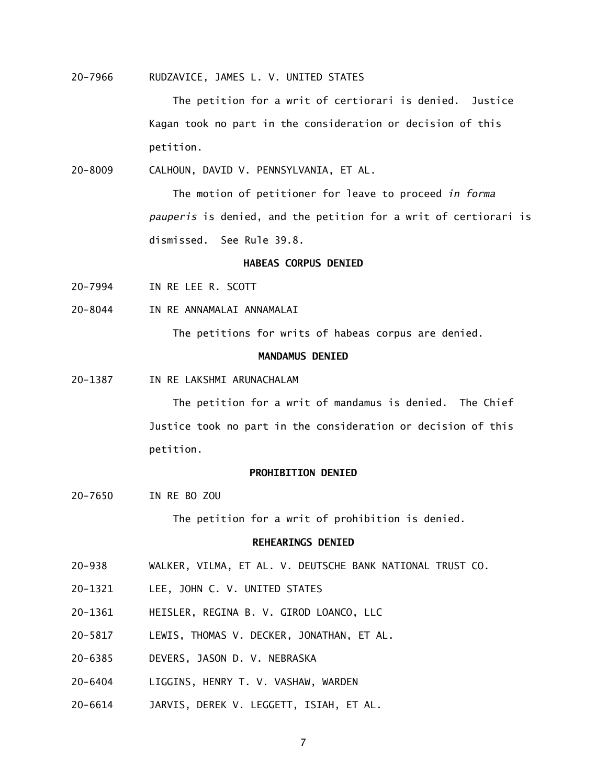20-7966 RUDZAVICE, JAMES L. V. UNITED STATES

 The petition for a writ of certiorari is denied. Justice Kagan took no part in the consideration or decision of this petition.

20-8009 CALHOUN, DAVID V. PENNSYLVANIA, ET AL.

 The motion of petitioner for leave to proceed *in forma pauperis* is denied, and the petition for a writ of certiorari is dismissed. See Rule 39.8.

## **HABEAS CORPUS DENIED**

- 20-7994 IN RE LEE R. SCOTT
- 20-8044 IN RE ANNAMALAI ANNAMALAI

The petitions for writs of habeas corpus are denied.

## **MANDAMUS DENIED**

20-1387 IN RE LAKSHMI ARUNACHALAM

 The petition for a writ of mandamus is denied. The Chief Justice took no part in the consideration or decision of this petition.

#### **PROHIBITION DENIED**

20-7650 IN RE BO ZOU

The petition for a writ of prohibition is denied.

## **REHEARINGS DENIED**

- $20 938$ WALKER, VILMA, ET AL. V. DEUTSCHE BANK NATIONAL TRUST CO.
- 20-1321 LEE, JOHN C. V. UNITED STATES
- 20-1361 HEISLER, REGINA B. V. GIROD LOANCO, LLC
- 20-5817 LEWIS, THOMAS V. DECKER, JONATHAN, ET AL.
- 20-6385 DEVERS, JASON D. V. NEBRASKA
- 20-6404 LIGGINS, HENRY T. V. VASHAW, WARDEN
- 20-6614 JARVIS, DEREK V. LEGGETT, ISIAH, ET AL.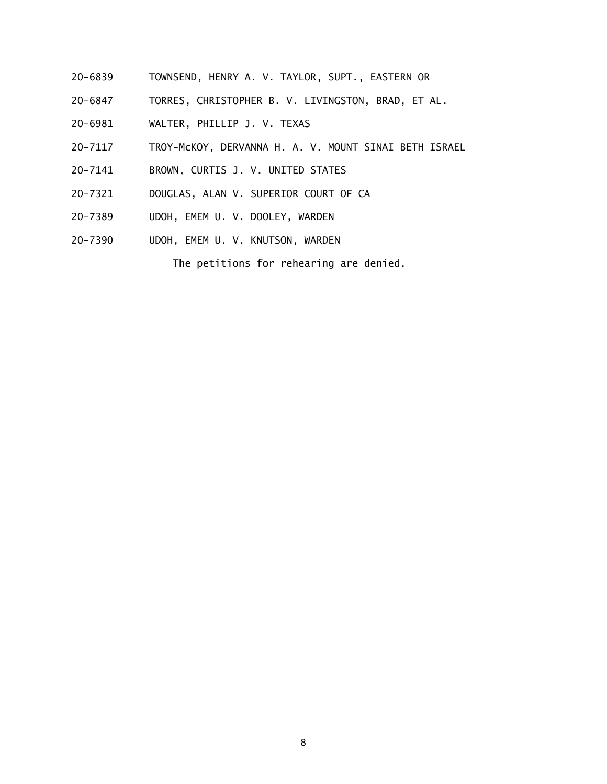- 20-6839 TOWNSEND, HENRY A. V. TAYLOR, SUPT., EASTERN OR
- 20-6847 TORRES, CHRISTOPHER B. V. LIVINGSTON, BRAD, ET AL.
- 20-6981 WALTER, PHILLIP J. V. TEXAS
- 20-7117 TROY-McKOY, DERVANNA H. A. V. MOUNT SINAI BETH ISRAEL
- 20-7141 BROWN, CURTIS J. V. UNITED STATES
- 20-7321 DOUGLAS, ALAN V. SUPERIOR COURT OF CA
- 20-7389 UDOH, EMEM U. V. DOOLEY, WARDEN
- 20-7390 UDOH, EMEM U. V. KNUTSON, WARDEN

The petitions for rehearing are denied.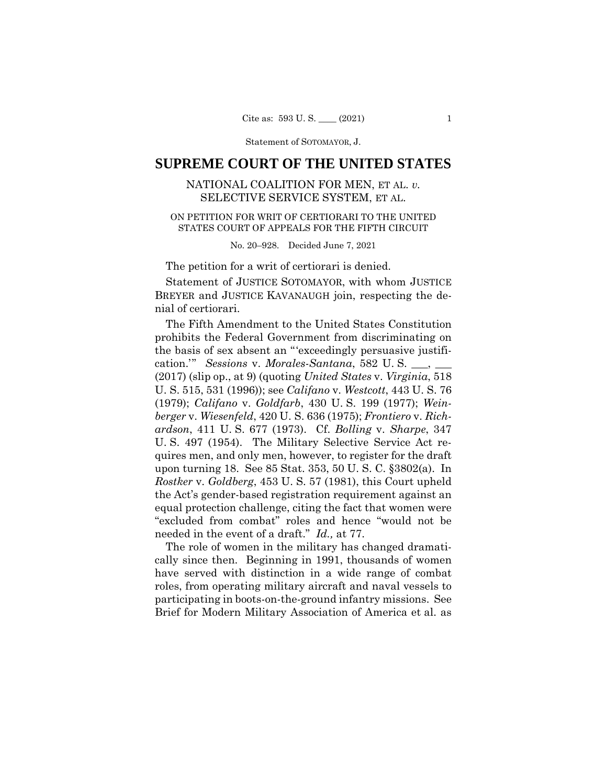Statement of SOTOMAYOR, J.

# **SUPREME COURT OF THE UNITED STATES**

# NATIONAL COALITION FOR MEN, ET AL. *v.*  SELECTIVE SERVICE SYSTEM, ET AL.

## ON PETITION FOR WRIT OF CERTIORARI TO THE UNITED STATES COURT OF APPEALS FOR THE FIFTH CIRCUIT

No. 20–928. Decided June 7, 2021

The petition for a writ of certiorari is denied.

 Statement of JUSTICE SOTOMAYOR, with whom JUSTICE BREYER and JUSTICE KAVANAUGH join, respecting the denial of certiorari.

 upon turning 18. See 85 Stat. 353, 50 U. S. C. §3802(a). In The Fifth Amendment to the United States Constitution prohibits the Federal Government from discriminating on the basis of sex absent an "'exceedingly persuasive justification.'" *Sessions* v. *Morales-Santana*, 582 U. S. \_\_\_, \_\_\_ (2017) (slip op., at 9) (quoting *United States* v. *Virginia*, 518 U. S. 515, 531 (1996)); see *Califano* v. *Westcott*, 443 U. S. 76 (1979); *Califano* v. *Goldfarb*, 430 U. S. 199 (1977); *Weinberger* v. *Wiesenfeld*, 420 U. S. 636 (1975); *Frontiero* v. *Richardson*, 411 U. S. 677 (1973). Cf. *Bolling* v. *Sharpe*, 347 U. S. 497 (1954). The Military Selective Service Act requires men, and only men, however, to register for the draft *Rostker* v. *Goldberg*, 453 U. S. 57 (1981), this Court upheld the Act's gender-based registration requirement against an equal protection challenge, citing the fact that women were "excluded from combat" roles and hence "would not be needed in the event of a draft." *Id.,* at 77.

The role of women in the military has changed dramatically since then. Beginning in 1991, thousands of women have served with distinction in a wide range of combat roles, from operating military aircraft and naval vessels to participating in boots-on-the-ground infantry missions. See Brief for Modern Military Association of America et al. as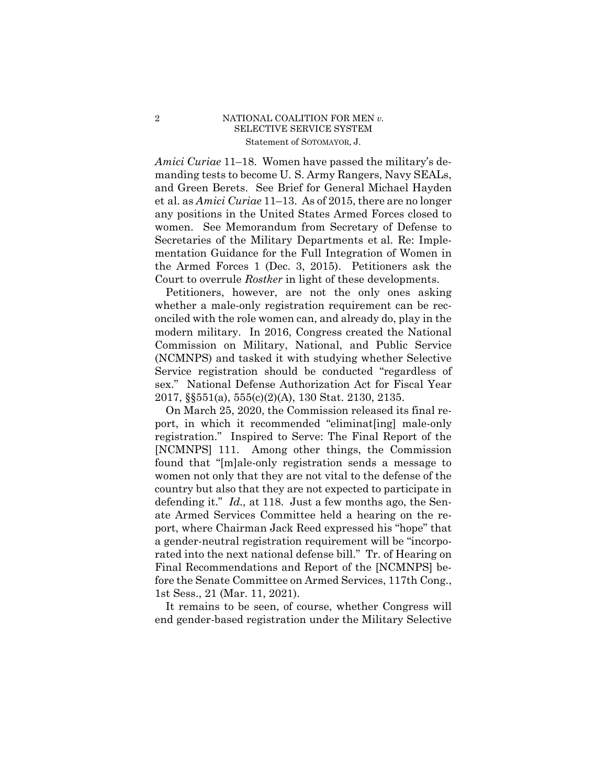## 2 NATIONAL COALITION FOR MEN *v.* SELECTIVE SERVICE SYSTEM Statement of SOTOMAYOR, J.

*Amici Curiae* 11–18. Women have passed the military's demanding tests to become U. S. Army Rangers, Navy SEALs, and Green Berets. See Brief for General Michael Hayden et al. as *Amici Curiae* 11–13. As of 2015, there are no longer any positions in the United States Armed Forces closed to women. See Memorandum from Secretary of Defense to Secretaries of the Military Departments et al. Re: Implementation Guidance for the Full Integration of Women in the Armed Forces 1 (Dec. 3, 2015). Petitioners ask the Court to overrule *Rostker* in light of these developments.

Petitioners, however, are not the only ones asking whether a male-only registration requirement can be reconciled with the role women can, and already do, play in the modern military. In 2016, Congress created the National Commission on Military, National, and Public Service (NCMNPS) and tasked it with studying whether Selective Service registration should be conducted "regardless of sex." National Defense Authorization Act for Fiscal Year 2017, §§551(a), 555(c)(2)(A), 130 Stat. 2130, 2135.

defending it." *Id.*, at 118. Just a few months ago, the Sen-On March 25, 2020, the Commission released its final report, in which it recommended "eliminat[ing] male-only registration." Inspired to Serve: The Final Report of the [NCMNPS] 111. Among other things, the Commission found that "[m]ale-only registration sends a message to women not only that they are not vital to the defense of the country but also that they are not expected to participate in ate Armed Services Committee held a hearing on the report, where Chairman Jack Reed expressed his "hope" that a gender-neutral registration requirement will be "incorporated into the next national defense bill." Tr. of Hearing on Final Recommendations and Report of the [NCMNPS] before the Senate Committee on Armed Services, 117th Cong., 1st Sess., 21 (Mar. 11, 2021).

It remains to be seen, of course, whether Congress will end gender-based registration under the Military Selective